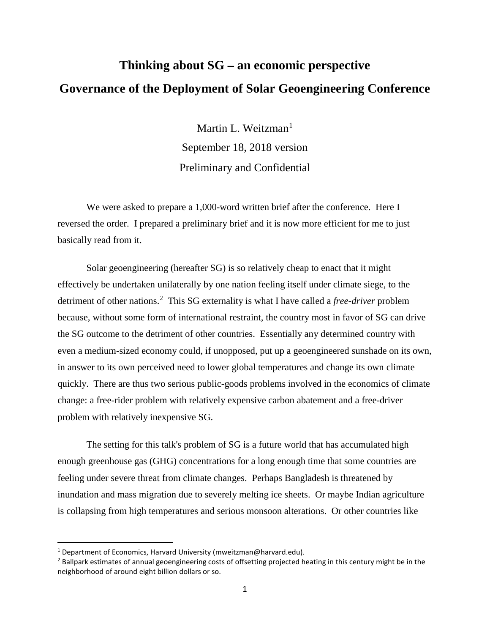## **Thinking about SG – an economic perspective Governance of the Deployment of Solar Geoengineering Conference**

Martin L. Weitzman $<sup>1</sup>$  $<sup>1</sup>$  $<sup>1</sup>$ </sup> September 18, 2018 version Preliminary and Confidential

We were asked to prepare a 1,000-word written brief after the conference. Here I reversed the order. I prepared a preliminary brief and it is now more efficient for me to just basically read from it.

Solar geoengineering (hereafter SG) is so relatively cheap to enact that it might effectively be undertaken unilaterally by one nation feeling itself under climate siege, to the detriment of other nations.<sup>[2](#page-0-1)</sup> This SG externality is what I have called a *free-driver* problem because, without some form of international restraint, the country most in favor of SG can drive the SG outcome to the detriment of other countries. Essentially any determined country with even a medium-sized economy could, if unopposed, put up a geoengineered sunshade on its own, in answer to its own perceived need to lower global temperatures and change its own climate quickly. There are thus two serious public-goods problems involved in the economics of climate change: a free-rider problem with relatively expensive carbon abatement and a free-driver problem with relatively inexpensive SG.

The setting for this talk's problem of SG is a future world that has accumulated high enough greenhouse gas (GHG) concentrations for a long enough time that some countries are feeling under severe threat from climate changes. Perhaps Bangladesh is threatened by inundation and mass migration due to severely melting ice sheets. Or maybe Indian agriculture is collapsing from high temperatures and serious monsoon alterations. Or other countries like

<span id="page-0-0"></span><sup>&</sup>lt;sup>1</sup> Department of Economics, Harvard University (mweitzman@harvard.edu).

<span id="page-0-1"></span><sup>&</sup>lt;sup>2</sup> Ballpark estimates of annual geoengineering costs of offsetting projected heating in this century might be in the neighborhood of around eight billion dollars or so.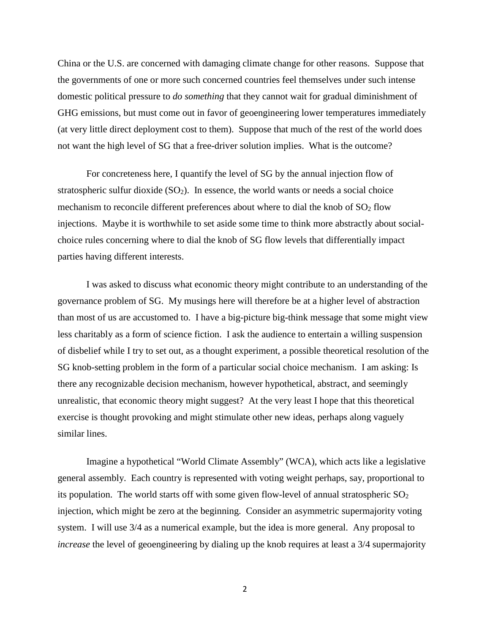China or the U.S. are concerned with damaging climate change for other reasons. Suppose that the governments of one or more such concerned countries feel themselves under such intense domestic political pressure to *do something* that they cannot wait for gradual diminishment of GHG emissions, but must come out in favor of geoengineering lower temperatures immediately (at very little direct deployment cost to them). Suppose that much of the rest of the world does not want the high level of SG that a free-driver solution implies. What is the outcome?

For concreteness here, I quantify the level of SG by the annual injection flow of stratospheric sulfur dioxide  $(SO<sub>2</sub>)$ . In essence, the world wants or needs a social choice mechanism to reconcile different preferences about where to dial the knob of  $SO<sub>2</sub>$  flow injections. Maybe it is worthwhile to set aside some time to think more abstractly about socialchoice rules concerning where to dial the knob of SG flow levels that differentially impact parties having different interests.

I was asked to discuss what economic theory might contribute to an understanding of the governance problem of SG. My musings here will therefore be at a higher level of abstraction than most of us are accustomed to. I have a big-picture big-think message that some might view less charitably as a form of science fiction. I ask the audience to entertain a willing suspension of disbelief while I try to set out, as a thought experiment, a possible theoretical resolution of the SG knob-setting problem in the form of a particular social choice mechanism. I am asking: Is there any recognizable decision mechanism, however hypothetical, abstract, and seemingly unrealistic, that economic theory might suggest? At the very least I hope that this theoretical exercise is thought provoking and might stimulate other new ideas, perhaps along vaguely similar lines.

Imagine a hypothetical "World Climate Assembly" (WCA), which acts like a legislative general assembly. Each country is represented with voting weight perhaps, say, proportional to its population. The world starts off with some given flow-level of annual stratospheric  $SO<sub>2</sub>$ injection, which might be zero at the beginning. Consider an asymmetric supermajority voting system. I will use 3/4 as a numerical example, but the idea is more general. Any proposal to *increase* the level of geoengineering by dialing up the knob requires at least a 3/4 supermajority

2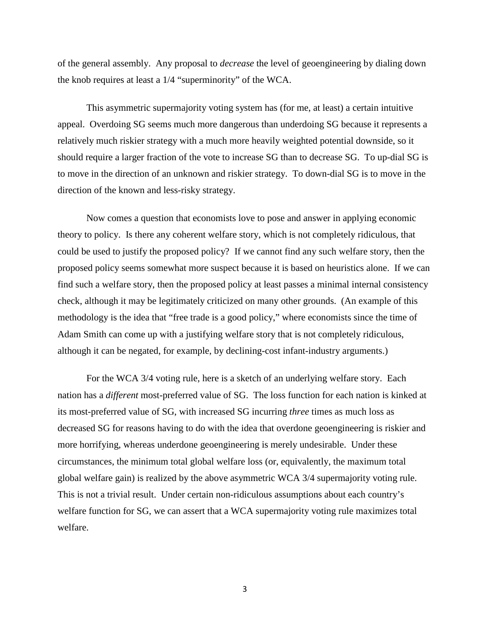of the general assembly. Any proposal to *decrease* the level of geoengineering by dialing down the knob requires at least a 1/4 "superminority" of the WCA.

This asymmetric supermajority voting system has (for me, at least) a certain intuitive appeal. Overdoing SG seems much more dangerous than underdoing SG because it represents a relatively much riskier strategy with a much more heavily weighted potential downside, so it should require a larger fraction of the vote to increase SG than to decrease SG. To up-dial SG is to move in the direction of an unknown and riskier strategy. To down-dial SG is to move in the direction of the known and less-risky strategy.

Now comes a question that economists love to pose and answer in applying economic theory to policy. Is there any coherent welfare story, which is not completely ridiculous, that could be used to justify the proposed policy? If we cannot find any such welfare story, then the proposed policy seems somewhat more suspect because it is based on heuristics alone. If we can find such a welfare story, then the proposed policy at least passes a minimal internal consistency check, although it may be legitimately criticized on many other grounds. (An example of this methodology is the idea that "free trade is a good policy," where economists since the time of Adam Smith can come up with a justifying welfare story that is not completely ridiculous, although it can be negated, for example, by declining-cost infant-industry arguments.)

For the WCA 3/4 voting rule, here is a sketch of an underlying welfare story. Each nation has a *different* most-preferred value of SG. The loss function for each nation is kinked at its most-preferred value of SG, with increased SG incurring *three* times as much loss as decreased SG for reasons having to do with the idea that overdone geoengineering is riskier and more horrifying, whereas underdone geoengineering is merely undesirable. Under these circumstances, the minimum total global welfare loss (or, equivalently, the maximum total global welfare gain) is realized by the above asymmetric WCA 3/4 supermajority voting rule. This is not a trivial result. Under certain non-ridiculous assumptions about each country's welfare function for SG, we can assert that a WCA supermajority voting rule maximizes total welfare.

3